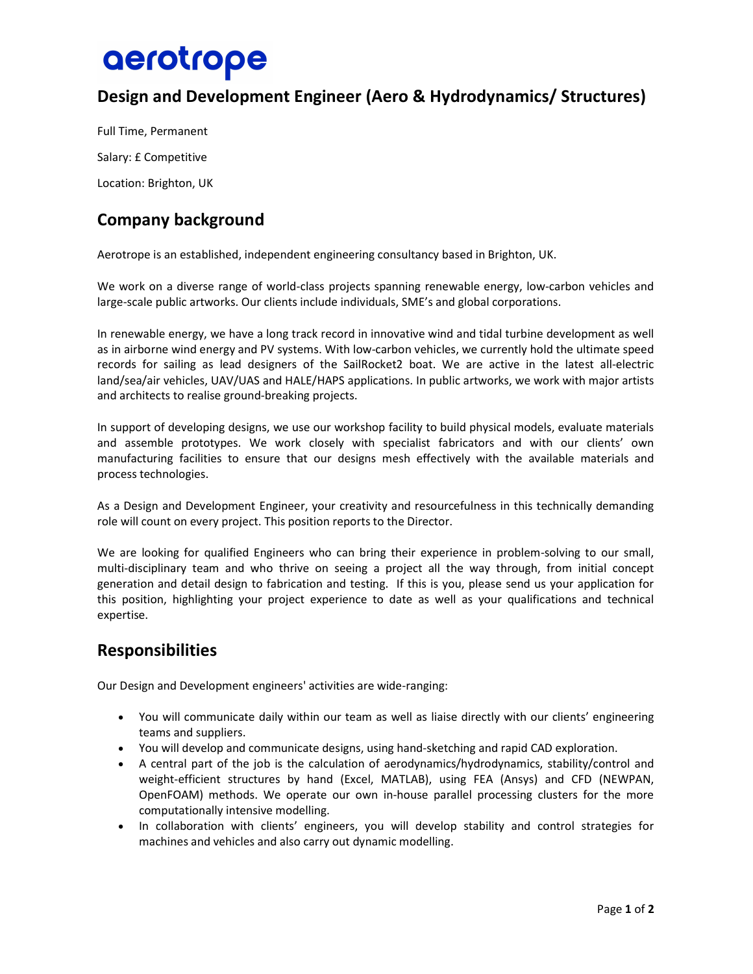# aerotrope

# Design and Development Engineer (Aero & Hydrodynamics/ Structures)

Full Time, Permanent Salary: £ Competitive Location: Brighton, UK

## Company background

Aerotrope is an established, independent engineering consultancy based in Brighton, UK.

We work on a diverse range of world-class projects spanning renewable energy, low-carbon vehicles and large-scale public artworks. Our clients include individuals, SME's and global corporations.

In renewable energy, we have a long track record in innovative wind and tidal turbine development as well as in airborne wind energy and PV systems. With low-carbon vehicles, we currently hold the ultimate speed records for sailing as lead designers of the SailRocket2 boat. We are active in the latest all-electric land/sea/air vehicles, UAV/UAS and HALE/HAPS applications. In public artworks, we work with major artists and architects to realise ground-breaking projects.

In support of developing designs, we use our workshop facility to build physical models, evaluate materials and assemble prototypes. We work closely with specialist fabricators and with our clients' own manufacturing facilities to ensure that our designs mesh effectively with the available materials and process technologies.

As a Design and Development Engineer, your creativity and resourcefulness in this technically demanding role will count on every project. This position reports to the Director.

We are looking for qualified Engineers who can bring their experience in problem-solving to our small, multi-disciplinary team and who thrive on seeing a project all the way through, from initial concept generation and detail design to fabrication and testing. If this is you, please send us your application for this position, highlighting your project experience to date as well as your qualifications and technical expertise.

#### Responsibilities

Our Design and Development engineers' activities are wide-ranging:

- You will communicate daily within our team as well as liaise directly with our clients' engineering teams and suppliers.
- You will develop and communicate designs, using hand-sketching and rapid CAD exploration.
- A central part of the job is the calculation of aerodynamics/hydrodynamics, stability/control and weight-efficient structures by hand (Excel, MATLAB), using FEA (Ansys) and CFD (NEWPAN, OpenFOAM) methods. We operate our own in-house parallel processing clusters for the more computationally intensive modelling.
- In collaboration with clients' engineers, you will develop stability and control strategies for machines and vehicles and also carry out dynamic modelling.